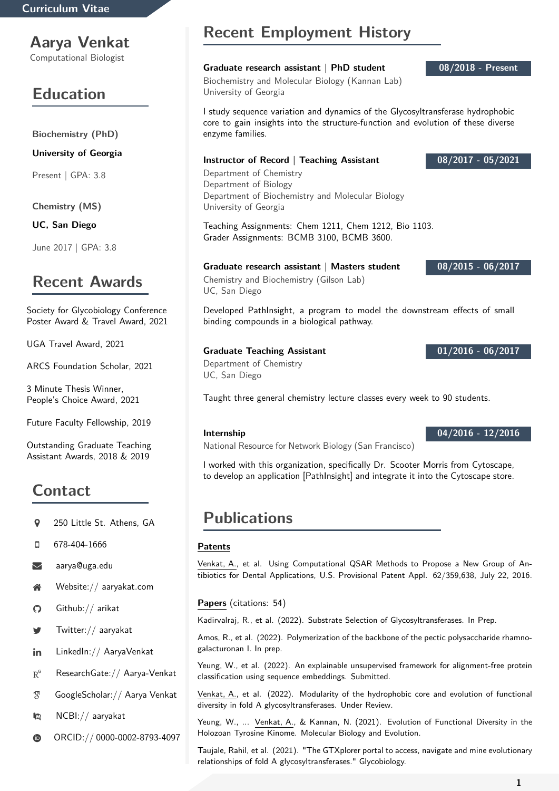## **Aarya Venkat**

Computational Biologist

# **Education**

**Biochemistry (PhD)**

**University of Georgia**

Present | GPA: 3.8

**Chemistry (MS)**

**UC, San Diego**

June 2017 | GPA: 3.8

## **Recent Awards**

Society for Glycobiology Conference Poster Award & Travel Award, 2021

UGA Travel Award, 2021

ARCS Foundation Scholar, 2021

3 Minute Thesis Winner, People's Choice Award, 2021

Future Faculty Fellowship, 2019

Outstanding Graduate Teaching Assistant Awards, 2018 & 2019

# **Contact**

- <sup>250</sup> Little St. Athens. GA
- 678-404-1666

[aarya@uga.edu](mailto:aarya@uga.edu)

- [Website:// aaryakat.com](https://aaryakat.com)
- [Github:// arikat](https://www.github.com/Arikat)
- [Twitter:// aaryakat](https://www.twitter.com/aaryakat/)
- in [LinkedIn:// AaryaVenkat](https://www.linkedin.com/in/AaryaVenkat/)
- $R^6$  Research Gate: // Aarya-Venkat
- [GoogleScholar:// Aarya Venkat](https://scholar.google.com/citations?hl=en&authuser=1&user=PzmCmXoAAAAJ)
- [NCBI:// aaryakat](https://www.ncbi.nlm.nih.gov/myncbi/14kUZzHVeizUs5/bibliography/public/)
- ORCID://0000-0002-8793-4097

# **Recent Employment History**

## **Graduate research assistant | PhD student 08/2018 - Present**

Biochemistry and Molecular Biology (Kannan Lab) University of Georgia

I study sequence variation and dynamics of the Glycosyltransferase hydrophobic core to gain insights into the structure-function and evolution of these diverse enzyme families.

## **Instructor of Record | Teaching Assistant 08/2017 - 05/2021**

Department of Chemistry Department of Biology Department of Biochemistry and Molecular Biology University of Georgia

Teaching Assignments: Chem 1211, Chem 1212, Bio 1103. Grader Assignments: BCMB 3100, BCMB 3600.

## **Graduate research assistant | Masters student 08/2015 - 06/2017**

Chemistry and Biochemistry (Gilson Lab) UC, San Diego

Developed PathInsight, a program to model the downstream effects of small binding compounds in a biological pathway.

## **Graduate Teaching Assistant 01/2016 - 06/2017**

Department of Chemistry UC, San Diego

Taught three general chemistry lecture classes every week to 90 students.

## **Internship 04/2016 - 12/2016**

National Resource for Network Biology (San Francisco)

I worked with this organization, specifically Dr. Scooter Morris from Cytoscape, to develop an application [PathInsight] and integrate it into the Cytoscape store.

## **Publications**

## **Patents**

Venkat, A., et al. Using Computational QSAR Methods to Propose a New Group of Antibiotics for Dental Applications, U.S. Provisional Patent Appl. 62/359,638, July 22, 2016.

## **Papers** (citations: 54)

Kadirvalraj, R., et al. (2022). Substrate Selection of Glycosyltransferases. In Prep.

Amos, R., et al. (2022). Polymerization of the backbone of the pectic polysaccharide rhamnogalacturonan I. In prep.

Yeung, W., et al. (2022). An explainable unsupervised framework for alignment-free protein classification using sequence embeddings. Submitted.

Venkat, A., et al. (2022). Modularity of the hydrophobic core and evolution of functional diversity in fold A glycosyltransferases. Under Review.

Yeung, W., ... Venkat, A., & Kannan, N. (2021). Evolution of Functional Diversity in the Holozoan Tyrosine Kinome. Molecular Biology and Evolution.

Taujale, Rahil, et al. (2021). "The GTXplorer portal to access, navigate and mine evolutionary relationships of fold A glycosyltransferases." Glycobiology.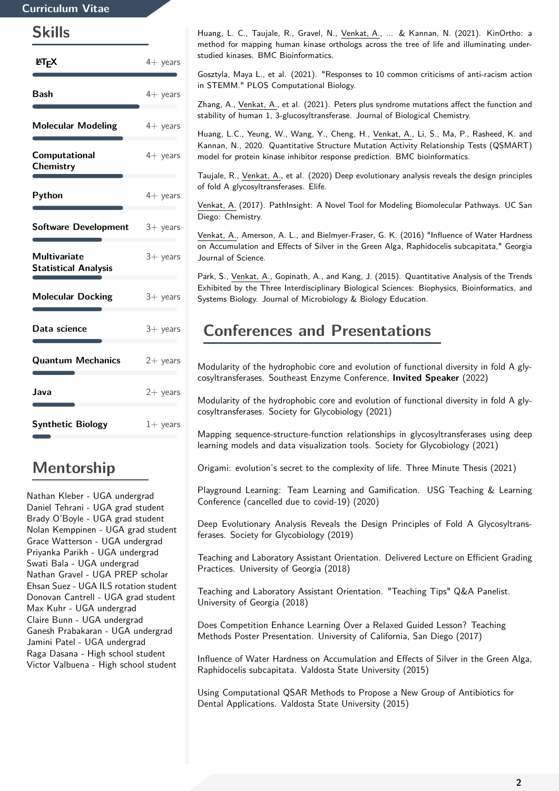## **Curriculum Vitae**

## **Skills**

| <b>LET<sub>F</sub>X</b>                            | $4+$ years |
|----------------------------------------------------|------------|
| <b>Bash</b>                                        | $4+$ years |
| <b>Molecular Modeling</b>                          | $4+$ years |
| Computational<br>Chemistry                         | $4+$ years |
| Python                                             | $4+$ years |
| <b>Software Development</b>                        | $3+$ years |
| <b>Multivariate</b><br><b>Statistical Analysis</b> | $3+$ years |
| <b>Molecular Docking</b>                           | $3+$ years |
| Data science                                       | $3+$ years |
| <b>Quantum Mechanics</b>                           | $2+$ years |
| Java                                               | $2+$ years |
| <b>Synthetic Biology</b>                           | $1+$ years |

# **Mentorship**

Nathan Kleber - UGA undergrad Daniel Tehrani - UGA grad student Brady O'Boyle - UGA grad student Nolan Kemppinen - UGA grad student Grace Watterson - UGA undergrad Priyanka Parikh - UGA undergrad Swati Bala - UGA undergrad Nathan Gravel - UGA PREP scholar Ehsan Suez - UGA ILS rotation student Donovan Cantrell - UGA grad student Max Kuhr - UGA undergrad Claire Bunn - UGA undergrad Ganesh Prabakaran - UGA undergrad Jamini Patel - UGA undergrad Raga Dasana - High school student Victor Valbuena - High school student

Huang, L. C., Taujale, R., Gravel, N., Venkat, A., ... & Kannan, N. (2021). KinOrtho: a method for mapping human kinase orthologs across the tree of life and illuminating understudied kinases. BMC Bioinformatics.

Gosztyla, Maya L., et al. (2021). "Responses to 10 common criticisms of anti-racism action in STEMM." PLOS Computational Biology.

Zhang, A., Venkat, A., et al. (2021). Peters plus syndrome mutations affect the function and stability of human 1, 3-glucosyltransferase. Journal of Biological Chemistry.

Huang, L.C., Yeung, W., Wang, Y., Cheng, H., Venkat, A., Li, S., Ma, P., Rasheed, K. and Kannan, N., 2020. Quantitative Structure Mutation Activity Relationship Tests (QSMART) model for protein kinase inhibitor response prediction. BMC bioinformatics.

Taujale, R., Venkat, A., et al. (2020) Deep evolutionary analysis reveals the design principles of fold A glycosyltransferases. Elife.

Venkat, A. (2017). PathInsight: A Novel Tool for Modeling Biomolecular Pathways. UC San Diego: Chemistry.

Venkat, A., Amerson, A. L., and Bielmyer-Fraser, G. K. (2016) "Influence of Water Hardness on Accumulation and Effects of Silver in the Green Alga, Raphidocelis subcapitata," Georgia Journal of Science.

Park, S., Venkat, A., Gopinath, A., and Kang, J. (2015). Quantitative Analysis of the Trends Exhibited by the Three Interdisciplinary Biological Sciences: Biophysics, Bioinformatics, and Systems Biology. Journal of Microbiology & Biology Education.

## **Conferences and Presentations**

Modularity of the hydrophobic core and evolution of functional diversity in fold A glycosyltransferases. Southeast Enzyme Conference, **Invited Speaker** (2022)

Modularity of the hydrophobic core and evolution of functional diversity in fold A glycosyltransferases. Society for Glycobiology (2021)

Mapping sequence-structure-function relationships in glycosyltransferases using deep learning models and data visualization tools. Society for Glycobiology (2021)

Origami: evolution's secret to the complexity of life. Three Minute Thesis (2021)

Playground Learning: Team Learning and Gamification. USG Teaching & Learning Conference (cancelled due to covid-19) (2020)

Deep Evolutionary Analysis Reveals the Design Principles of Fold A Glycosyltransferases. Society for Glycobiology (2019)

Teaching and Laboratory Assistant Orientation. Delivered Lecture on Efficient Grading Practices. University of Georgia (2018)

Teaching and Laboratory Assistant Orientation. "Teaching Tips" Q&A Panelist. University of Georgia (2018)

Does Competition Enhance Learning Over a Relaxed Guided Lesson? Teaching Methods Poster Presentation. University of California, San Diego (2017)

Influence of Water Hardness on Accumulation and Effects of Silver in the Green Alga, Raphidocelis subcapitata. Valdosta State University (2015)

Using Computational QSAR Methods to Propose a New Group of Antibiotics for Dental Applications. Valdosta State University (2015)